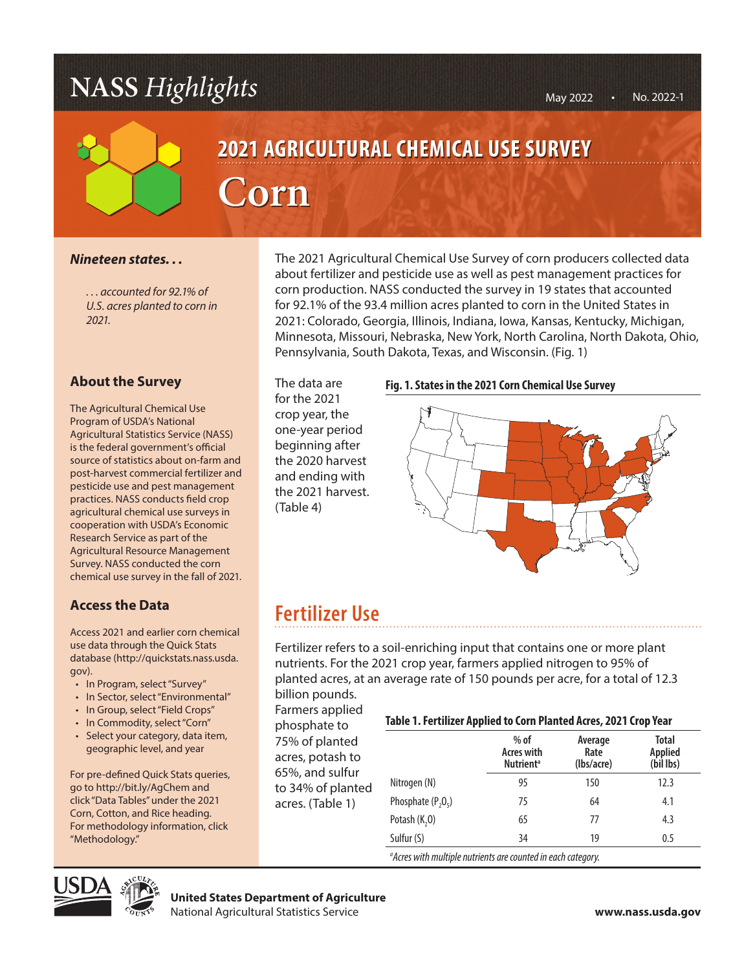## **NASS** *Highlights*



# **2021 AGRICULTURAL CHEMICAL USE SURVEY** AGRICULTURAL **Corn**

### *Nineteen states. . .*

*. . . accounted for 92.1% of U.S. acres planted to corn in 2021.*

### **About the Survey**

The Agricultural Chemical Use Program of USDA's National Agricultural Statistics Service (NASS) is the federal government's official source of statistics about on-farm and post-harvest commercial fertilizer and pesticide use and pest management practices. NASS conducts field crop agricultural chemical use surveys in cooperation with USDA's Economic Research Service as part of the Agricultural Resource Management Survey. NASS conducted the corn chemical use survey in the fall of 2021.

### **Access the Data**

Access 2021 and earlier corn chemical use data through the Quick Stats database (http://quickstats.nass.usda. gov).

- In Program, select "Survey"
- In Sector, select "Environmental"
- In Group, select "Field Crops"
- In Commodity, select "Corn"
- Select your category, data item, geographic level, and year

For pre-defined Quick Stats queries, go to http://bit.ly/AgChem and click "Data Tables" under the 2021 Corn, Cotton, and Rice heading. For methodology information, click "Methodology."

The 2021 Agricultural Chemical Use Survey of corn producers collected data about fertilizer and pesticide use as well as pest management practices for<br>
for a production. NASS conducted the survey in 19 states that accounted<br>
AGRICULTURAL CONTINUES corn production. NASS conducted the survey in 19 states that accounted for 92.1% of the 93.4 million acres planted to corn in the United States in **Example 10 Second 10 Second 10 Second 10 Second 10 Second 10 Second 10 Second 10 Second 10 Second 10 Second 10 Second 10 Second 10 Second 10 Second 10 Second 10 Second 10 Second 10 Second 10 Second 10 Second 10 Second 10** Minnesota, Missouri, Nebraska, New York, North Carolina, North Dakota, Ohio, Pennsylvania, South Dakota, Texas, and Wisconsin. (Fig. 1)

> The data are for the 2021 crop year, the one-year period beginning after the 2020 harvest and ending with the 2021 harvest. (Table 4)

#### **Fig. 1. States in the 2021 Corn Chemical Use Survey**



### **Fertilizer Use**

Fertilizer refers to a soil-enriching input that contains one or more plant nutrients. For the 2021 crop year, farmers applied nitrogen to 95% of planted acres, at an average rate of 150 pounds per acre, for a total of 12.3 billion pounds.

Farmers applied phosphate to 75% of planted acres, potash to 65%, and sulfur to 34% of planted acres. (Table 1)

#### **Table 1. Fertilizer Applied to Corn Planted Acres, 2021 Crop Year**

|                      | $%$ of<br><b>Acres with</b><br><b>Nutrient</b> <sup>a</sup> | Average<br>Rate<br>(lbs/acre) | Total<br>Applied<br>(bil lbs) |
|----------------------|-------------------------------------------------------------|-------------------------------|-------------------------------|
| Nitrogen (N)         | 95                                                          | 150                           | 12.3                          |
| Phosphate $(P, O_s)$ | 75                                                          | 64                            | 4.1                           |
| Potash $(K,0)$       | 65                                                          | 77                            | 4.3                           |
| Sulfur (S)           | 34                                                          | 19                            | 0.5                           |